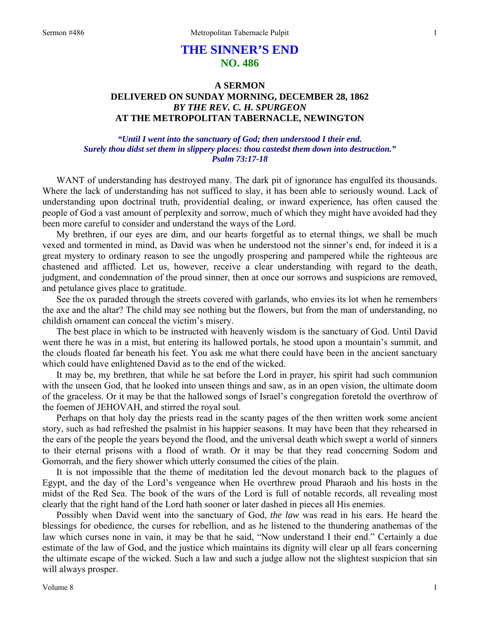## **THE SINNER'S END NO. 486**

## **A SERMON DELIVERED ON SUNDAY MORNING, DECEMBER 28, 1862**  *BY THE REV. C. H. SPURGEON*  **AT THE METROPOLITAN TABERNACLE, NEWINGTON**

## *"Until I went into the sanctuary of God; then understood I their end. Surely thou didst set them in slippery places: thou castedst them down into destruction." Psalm 73:17-18*

WANT of understanding has destroyed many. The dark pit of ignorance has engulfed its thousands. Where the lack of understanding has not sufficed to slay, it has been able to seriously wound. Lack of understanding upon doctrinal truth, providential dealing, or inward experience, has often caused the people of God a vast amount of perplexity and sorrow, much of which they might have avoided had they been more careful to consider and understand the ways of the Lord.

My brethren, if our eyes are dim, and our hearts forgetful as to eternal things, we shall be much vexed and tormented in mind, as David was when he understood not the sinner's end, for indeed it is a great mystery to ordinary reason to see the ungodly prospering and pampered while the righteous are chastened and afflicted. Let us, however, receive a clear understanding with regard to the death, judgment, and condemnation of the proud sinner, then at once our sorrows and suspicions are removed, and petulance gives place to gratitude.

See the ox paraded through the streets covered with garlands, who envies its lot when he remembers the axe and the altar? The child may see nothing but the flowers, but from the man of understanding, no childish ornament can conceal the victim's misery.

The best place in which to be instructed with heavenly wisdom is the sanctuary of God. Until David went there he was in a mist, but entering its hallowed portals, he stood upon a mountain's summit, and the clouds floated far beneath his feet. You ask me what there could have been in the ancient sanctuary which could have enlightened David as to the end of the wicked.

It may be, my brethren, that while he sat before the Lord in prayer, his spirit had such communion with the unseen God, that he looked into unseen things and saw, as in an open vision, the ultimate doom of the graceless. Or it may be that the hallowed songs of Israel's congregation foretold the overthrow of the foemen of JEHOVAH, and stirred the royal soul.

Perhaps on that holy day the priests read in the scanty pages of the then written work some ancient story, such as had refreshed the psalmist in his happier seasons. It may have been that they rehearsed in the ears of the people the years beyond the flood, and the universal death which swept a world of sinners to their eternal prisons with a flood of wrath. Or it may be that they read concerning Sodom and Gomorrah, and the fiery shower which utterly consumed the cities of the plain.

It is not impossible that the theme of meditation led the devout monarch back to the plagues of Egypt, and the day of the Lord's vengeance when He overthrew proud Pharaoh and his hosts in the midst of the Red Sea. The book of the wars of the Lord is full of notable records, all revealing most clearly that the right hand of the Lord hath sooner or later dashed in pieces all His enemies.

Possibly when David went into the sanctuary of God, *the law* was read in his ears. He heard the blessings for obedience, the curses for rebellion, and as he listened to the thundering anathemas of the law which curses none in vain, it may be that he said, "Now understand I their end." Certainly a due estimate of the law of God, and the justice which maintains its dignity will clear up all fears concerning the ultimate escape of the wicked. Such a law and such a judge allow not the slightest suspicion that sin will always prosper.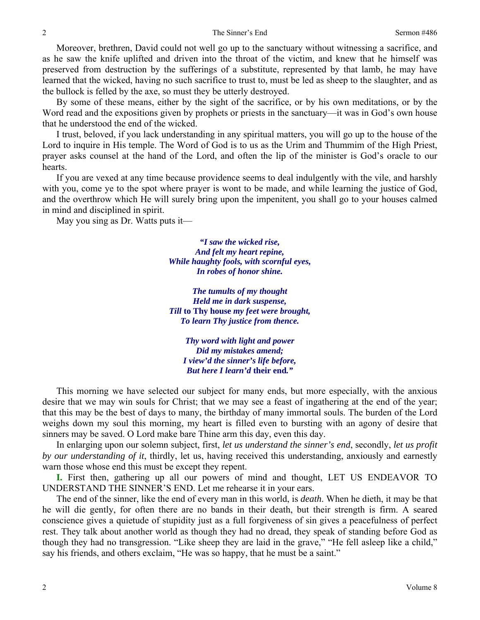Moreover, brethren, David could not well go up to the sanctuary without witnessing a sacrifice, and as he saw the knife uplifted and driven into the throat of the victim, and knew that he himself was preserved from destruction by the sufferings of a substitute, represented by that lamb, he may have learned that the wicked, having no such sacrifice to trust to, must be led as sheep to the slaughter, and as the bullock is felled by the axe, so must they be utterly destroyed.

By some of these means, either by the sight of the sacrifice, or by his own meditations, or by the Word read and the expositions given by prophets or priests in the sanctuary—it was in God's own house that he understood the end of the wicked.

I trust, beloved, if you lack understanding in any spiritual matters, you will go up to the house of the Lord to inquire in His temple. The Word of God is to us as the Urim and Thummim of the High Priest, prayer asks counsel at the hand of the Lord, and often the lip of the minister is God's oracle to our hearts.

If you are vexed at any time because providence seems to deal indulgently with the vile, and harshly with you, come ye to the spot where prayer is wont to be made, and while learning the justice of God, and the overthrow which He will surely bring upon the impenitent, you shall go to your houses calmed in mind and disciplined in spirit.

May you sing as Dr. Watts puts it—

*"I saw the wicked rise, And felt my heart repine, While haughty fools, with scornful eyes, In robes of honor shine.* 

*The tumults of my thought Held me in dark suspense, Till* **to Thy house** *my feet were brought, To learn Thy justice from thence.* 

*Thy word with light and power Did my mistakes amend; I view'd the sinner's life before, But here I learn'd* **their end***."* 

This morning we have selected our subject for many ends, but more especially, with the anxious desire that we may win souls for Christ; that we may see a feast of ingathering at the end of the year; that this may be the best of days to many, the birthday of many immortal souls. The burden of the Lord weighs down my soul this morning, my heart is filled even to bursting with an agony of desire that sinners may be saved. O Lord make bare Thine arm this day, even this day.

In enlarging upon our solemn subject, first, *let us understand the sinner's end*, secondly, *let us profit by our understanding of it*, thirdly, let us, having received this understanding, anxiously and earnestly warn those whose end this must be except they repent.

**I.** First then, gathering up all our powers of mind and thought, LET US ENDEAVOR TO UNDERSTAND THE SINNER'S END. Let me rehearse it in your ears.

The end of the sinner, like the end of every man in this world, is *death*. When he dieth, it may be that he will die gently, for often there are no bands in their death, but their strength is firm. A seared conscience gives a quietude of stupidity just as a full forgiveness of sin gives a peacefulness of perfect rest. They talk about another world as though they had no dread, they speak of standing before God as though they had no transgression. "Like sheep they are laid in the grave," "He fell asleep like a child," say his friends, and others exclaim, "He was so happy, that he must be a saint."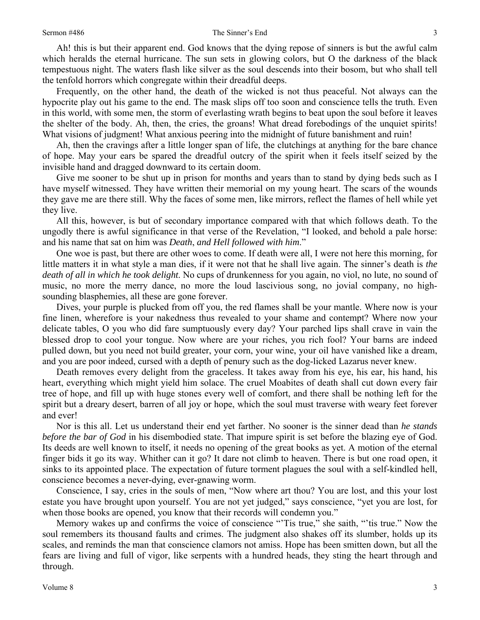Ah! this is but their apparent end. God knows that the dying repose of sinners is but the awful calm which heralds the eternal hurricane. The sun sets in glowing colors, but O the darkness of the black tempestuous night. The waters flash like silver as the soul descends into their bosom, but who shall tell the tenfold horrors which congregate within their dreadful deeps.

Frequently, on the other hand, the death of the wicked is not thus peaceful. Not always can the hypocrite play out his game to the end. The mask slips off too soon and conscience tells the truth. Even in this world, with some men, the storm of everlasting wrath begins to beat upon the soul before it leaves the shelter of the body. Ah, then, the cries, the groans! What dread forebodings of the unquiet spirits! What visions of judgment! What anxious peering into the midnight of future banishment and ruin!

Ah, then the cravings after a little longer span of life, the clutchings at anything for the bare chance of hope. May your ears be spared the dreadful outcry of the spirit when it feels itself seized by the invisible hand and dragged downward to its certain doom.

Give me sooner to be shut up in prison for months and years than to stand by dying beds such as I have myself witnessed. They have written their memorial on my young heart. The scars of the wounds they gave me are there still. Why the faces of some men, like mirrors, reflect the flames of hell while yet they live.

All this, however, is but of secondary importance compared with that which follows death. To the ungodly there is awful significance in that verse of the Revelation, "I looked, and behold a pale horse: and his name that sat on him was *Death*, *and Hell followed with him*."

One woe is past, but there are other woes to come. If death were all, I were not here this morning, for little matters it in what style a man dies, if it were not that he shall live again. The sinner's death is *the death of all in which he took delight*. No cups of drunkenness for you again, no viol, no lute, no sound of music, no more the merry dance, no more the loud lascivious song, no jovial company, no highsounding blasphemies, all these are gone forever.

Dives, your purple is plucked from off you, the red flames shall be your mantle. Where now is your fine linen, wherefore is your nakedness thus revealed to your shame and contempt? Where now your delicate tables, O you who did fare sumptuously every day? Your parched lips shall crave in vain the blessed drop to cool your tongue. Now where are your riches, you rich fool? Your barns are indeed pulled down, but you need not build greater, your corn, your wine, your oil have vanished like a dream, and you are poor indeed, cursed with a depth of penury such as the dog-licked Lazarus never knew.

Death removes every delight from the graceless. It takes away from his eye, his ear, his hand, his heart, everything which might yield him solace. The cruel Moabites of death shall cut down every fair tree of hope, and fill up with huge stones every well of comfort, and there shall be nothing left for the spirit but a dreary desert, barren of all joy or hope, which the soul must traverse with weary feet forever and ever!

Nor is this all. Let us understand their end yet farther. No sooner is the sinner dead than *he stands before the bar of God* in his disembodied state. That impure spirit is set before the blazing eye of God. Its deeds are well known to itself, it needs no opening of the great books as yet. A motion of the eternal finger bids it go its way. Whither can it go? It dare not climb to heaven. There is but one road open, it sinks to its appointed place. The expectation of future torment plagues the soul with a self-kindled hell, conscience becomes a never-dying, ever-gnawing worm.

Conscience, I say, cries in the souls of men, "Now where art thou? You are lost, and this your lost estate you have brought upon yourself. You are not yet judged," says conscience, "yet you are lost, for when those books are opened, you know that their records will condemn you."

Memory wakes up and confirms the voice of conscience "'Tis true," she saith, "'tis true." Now the soul remembers its thousand faults and crimes. The judgment also shakes off its slumber, holds up its scales, and reminds the man that conscience clamors not amiss. Hope has been smitten down, but all the fears are living and full of vigor, like serpents with a hundred heads, they sting the heart through and through.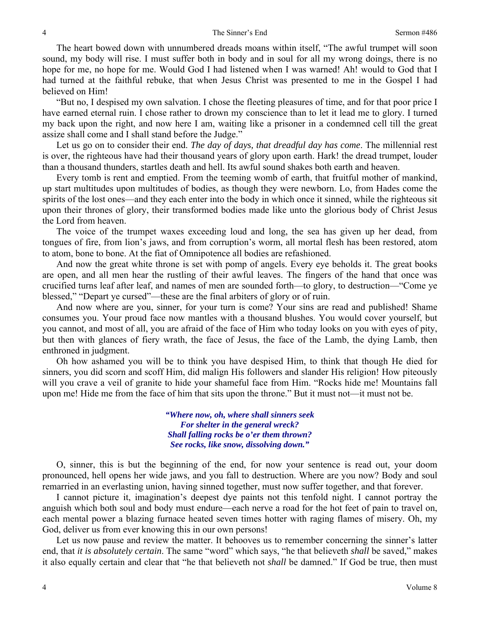The heart bowed down with unnumbered dreads moans within itself, "The awful trumpet will soon sound, my body will rise. I must suffer both in body and in soul for all my wrong doings, there is no hope for me, no hope for me. Would God I had listened when I was warned! Ah! would to God that I had turned at the faithful rebuke, that when Jesus Christ was presented to me in the Gospel I had believed on Him!

"But no, I despised my own salvation. I chose the fleeting pleasures of time, and for that poor price I have earned eternal ruin. I chose rather to drown my conscience than to let it lead me to glory. I turned my back upon the right, and now here I am, waiting like a prisoner in a condemned cell till the great assize shall come and I shall stand before the Judge."

Let us go on to consider their end. *The day of days, that dreadful day has come*. The millennial rest is over, the righteous have had their thousand years of glory upon earth. Hark! the dread trumpet, louder than a thousand thunders, startles death and hell. Its awful sound shakes both earth and heaven.

Every tomb is rent and emptied. From the teeming womb of earth, that fruitful mother of mankind, up start multitudes upon multitudes of bodies, as though they were newborn. Lo, from Hades come the spirits of the lost ones—and they each enter into the body in which once it sinned, while the righteous sit upon their thrones of glory, their transformed bodies made like unto the glorious body of Christ Jesus the Lord from heaven.

The voice of the trumpet waxes exceeding loud and long, the sea has given up her dead, from tongues of fire, from lion's jaws, and from corruption's worm, all mortal flesh has been restored, atom to atom, bone to bone. At the fiat of Omnipotence all bodies are refashioned.

And now the great white throne is set with pomp of angels. Every eye beholds it. The great books are open, and all men hear the rustling of their awful leaves. The fingers of the hand that once was crucified turns leaf after leaf, and names of men are sounded forth—to glory, to destruction—"Come ye blessed," "Depart ye cursed"—these are the final arbiters of glory or of ruin.

And now where are you, sinner, for your turn is come? Your sins are read and published! Shame consumes you. Your proud face now mantles with a thousand blushes. You would cover yourself, but you cannot, and most of all, you are afraid of the face of Him who today looks on you with eyes of pity, but then with glances of fiery wrath, the face of Jesus, the face of the Lamb, the dying Lamb, then enthroned in judgment.

Oh how ashamed you will be to think you have despised Him, to think that though He died for sinners, you did scorn and scoff Him, did malign His followers and slander His religion! How piteously will you crave a veil of granite to hide your shameful face from Him. "Rocks hide me! Mountains fall upon me! Hide me from the face of him that sits upon the throne." But it must not—it must not be.

> *"Where now, oh, where shall sinners seek For shelter in the general wreck? Shall falling rocks be o'er them thrown? See rocks, like snow, dissolving down."*

O, sinner, this is but the beginning of the end, for now your sentence is read out, your doom pronounced, hell opens her wide jaws, and you fall to destruction. Where are you now? Body and soul remarried in an everlasting union, having sinned together, must now suffer together, and that forever.

I cannot picture it, imagination's deepest dye paints not this tenfold night. I cannot portray the anguish which both soul and body must endure—each nerve a road for the hot feet of pain to travel on, each mental power a blazing furnace heated seven times hotter with raging flames of misery. Oh, my God, deliver us from ever knowing this in our own persons!

Let us now pause and review the matter. It behooves us to remember concerning the sinner's latter end, that *it is absolutely certain*. The same "word" which says, "he that believeth *shall* be saved," makes it also equally certain and clear that "he that believeth not *shall* be damned." If God be true, then must

4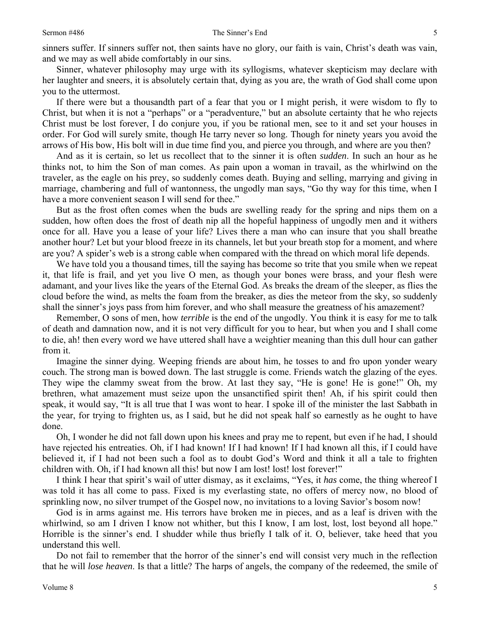sinners suffer. If sinners suffer not, then saints have no glory, our faith is vain, Christ's death was vain, and we may as well abide comfortably in our sins.

Sinner, whatever philosophy may urge with its syllogisms, whatever skepticism may declare with her laughter and sneers, it is absolutely certain that, dying as you are, the wrath of God shall come upon you to the uttermost.

If there were but a thousandth part of a fear that you or I might perish, it were wisdom to fly to Christ, but when it is not a "perhaps" or a "peradventure," but an absolute certainty that he who rejects Christ must be lost forever, I do conjure you, if you be rational men, see to it and set your houses in order. For God will surely smite, though He tarry never so long. Though for ninety years you avoid the arrows of His bow, His bolt will in due time find you, and pierce you through, and where are you then?

And as it is certain, so let us recollect that to the sinner it is often *sudden*. In such an hour as he thinks not, to him the Son of man comes. As pain upon a woman in travail, as the whirlwind on the traveler, as the eagle on his prey, so suddenly comes death. Buying and selling, marrying and giving in marriage, chambering and full of wantonness, the ungodly man says, "Go thy way for this time, when I have a more convenient season I will send for thee."

But as the frost often comes when the buds are swelling ready for the spring and nips them on a sudden, how often does the frost of death nip all the hopeful happiness of ungodly men and it withers once for all. Have you a lease of your life? Lives there a man who can insure that you shall breathe another hour? Let but your blood freeze in its channels, let but your breath stop for a moment, and where are you? A spider's web is a strong cable when compared with the thread on which moral life depends.

We have told you a thousand times, till the saying has become so trite that you smile when we repeat it, that life is frail, and yet you live O men, as though your bones were brass, and your flesh were adamant, and your lives like the years of the Eternal God. As breaks the dream of the sleeper, as flies the cloud before the wind, as melts the foam from the breaker, as dies the meteor from the sky, so suddenly shall the sinner's joys pass from him forever, and who shall measure the greatness of his amazement?

Remember, O sons of men, how *terrible* is the end of the ungodly. You think it is easy for me to talk of death and damnation now, and it is not very difficult for you to hear, but when you and I shall come to die, ah! then every word we have uttered shall have a weightier meaning than this dull hour can gather from it.

Imagine the sinner dying. Weeping friends are about him, he tosses to and fro upon yonder weary couch. The strong man is bowed down. The last struggle is come. Friends watch the glazing of the eyes. They wipe the clammy sweat from the brow. At last they say, "He is gone! He is gone!" Oh, my brethren, what amazement must seize upon the unsanctified spirit then! Ah, if his spirit could then speak, it would say, "It is all true that I was wont to hear. I spoke ill of the minister the last Sabbath in the year, for trying to frighten us, as I said, but he did not speak half so earnestly as he ought to have done.

Oh, I wonder he did not fall down upon his knees and pray me to repent, but even if he had, I should have rejected his entreaties. Oh, if I had known! If I had known! If I had known all this, if I could have believed it, if I had not been such a fool as to doubt God's Word and think it all a tale to frighten children with. Oh, if I had known all this! but now I am lost! lost! lost forever!"

I think I hear that spirit's wail of utter dismay, as it exclaims, "Yes, it *has* come, the thing whereof I was told it has all come to pass. Fixed is my everlasting state, no offers of mercy now, no blood of sprinkling now, no silver trumpet of the Gospel now, no invitations to a loving Savior's bosom now!

God is in arms against me. His terrors have broken me in pieces, and as a leaf is driven with the whirlwind, so am I driven I know not whither, but this I know, I am lost, lost, lost beyond all hope." Horrible is the sinner's end. I shudder while thus briefly I talk of it. O, believer, take heed that you understand this well.

Do not fail to remember that the horror of the sinner's end will consist very much in the reflection that he will *lose heaven*. Is that a little? The harps of angels, the company of the redeemed, the smile of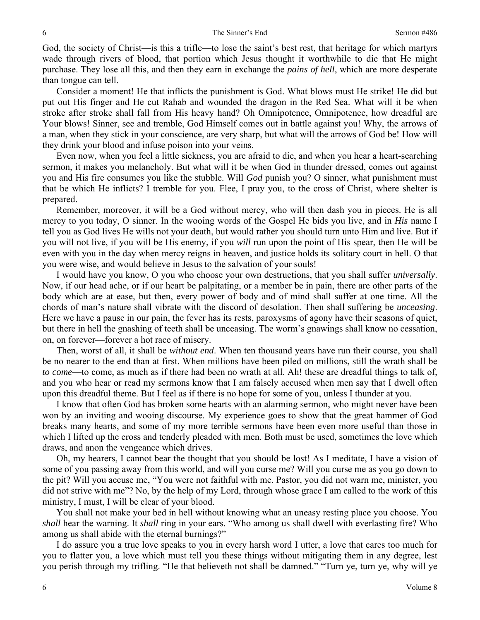God, the society of Christ—is this a trifle—to lose the saint's best rest, that heritage for which martyrs wade through rivers of blood, that portion which Jesus thought it worthwhile to die that He might purchase. They lose all this, and then they earn in exchange the *pains of hell*, which are more desperate than tongue can tell.

Consider a moment! He that inflicts the punishment is God. What blows must He strike! He did but put out His finger and He cut Rahab and wounded the dragon in the Red Sea. What will it be when stroke after stroke shall fall from His heavy hand? Oh Omnipotence, Omnipotence, how dreadful are Your blows! Sinner, see and tremble, God Himself comes out in battle against you! Why, the arrows of a man, when they stick in your conscience, are very sharp, but what will the arrows of God be! How will they drink your blood and infuse poison into your veins.

Even now, when you feel a little sickness, you are afraid to die, and when you hear a heart-searching sermon, it makes you melancholy. But what will it be when God in thunder dressed, comes out against you and His fire consumes you like the stubble. Will *God* punish you? O sinner, what punishment must that be which He inflicts? I tremble for you. Flee, I pray you, to the cross of Christ, where shelter is prepared.

Remember, moreover, it will be a God without mercy, who will then dash you in pieces. He is all mercy to you today, O sinner. In the wooing words of the Gospel He bids you live, and in *His* name I tell you as God lives He wills not your death, but would rather you should turn unto Him and live. But if you will not live, if you will be His enemy, if you *will* run upon the point of His spear, then He will be even with you in the day when mercy reigns in heaven, and justice holds its solitary court in hell. O that you were wise, and would believe in Jesus to the salvation of your souls!

I would have you know, O you who choose your own destructions, that you shall suffer *universally*. Now, if our head ache, or if our heart be palpitating, or a member be in pain, there are other parts of the body which are at ease, but then, every power of body and of mind shall suffer at one time. All the chords of man's nature shall vibrate with the discord of desolation. Then shall suffering be *unceasing*. Here we have a pause in our pain, the fever has its rests, paroxysms of agony have their seasons of quiet, but there in hell the gnashing of teeth shall be unceasing. The worm's gnawings shall know no cessation, on, on forever—forever a hot race of misery.

Then, worst of all, it shall be *without end*. When ten thousand years have run their course, you shall be no nearer to the end than at first. When millions have been piled on millions, still the wrath shall be *to come*—to come, as much as if there had been no wrath at all. Ah! these are dreadful things to talk of, and you who hear or read my sermons know that I am falsely accused when men say that I dwell often upon this dreadful theme. But I feel as if there is no hope for some of you, unless I thunder at you.

I know that often God has broken some hearts with an alarming sermon, who might never have been won by an inviting and wooing discourse. My experience goes to show that the great hammer of God breaks many hearts, and some of my more terrible sermons have been even more useful than those in which I lifted up the cross and tenderly pleaded with men. Both must be used, sometimes the love which draws, and anon the vengeance which drives.

Oh, my hearers, I cannot bear the thought that you should be lost! As I meditate, I have a vision of some of you passing away from this world, and will you curse me? Will you curse me as you go down to the pit? Will you accuse me, "You were not faithful with me. Pastor, you did not warn me, minister, you did not strive with me"? No, by the help of my Lord, through whose grace I am called to the work of this ministry, I must, I will be clear of your blood.

You shall not make your bed in hell without knowing what an uneasy resting place you choose. You *shall* hear the warning. It *shall* ring in your ears. "Who among us shall dwell with everlasting fire? Who among us shall abide with the eternal burnings?"

I do assure you a true love speaks to you in every harsh word I utter, a love that cares too much for you to flatter you, a love which must tell you these things without mitigating them in any degree, lest you perish through my trifling. "He that believeth not shall be damned." "Turn ye, turn ye, why will ye

6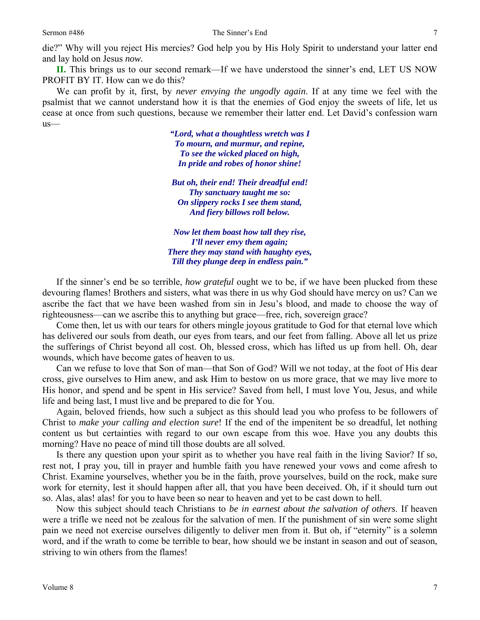die?" Why will you reject His mercies? God help you by His Holy Spirit to understand your latter end and lay hold on Jesus *now.*

**II.** This brings us to our second remark—If we have understood the sinner's end, LET US NOW PROFIT BY IT. How can we do this?

We can profit by it, first, by *never envying the ungodly again*. If at any time we feel with the psalmist that we cannot understand how it is that the enemies of God enjoy the sweets of life, let us cease at once from such questions, because we remember their latter end. Let David's confession warn us—

> *"Lord, what a thoughtless wretch was I To mourn, and murmur, and repine, To see the wicked placed on high, In pride and robes of honor shine!*

*But oh, their end! Their dreadful end! Thy sanctuary taught me so: On slippery rocks I see them stand, And fiery billows roll below.* 

*Now let them boast how tall they rise, I'll never envy them again; There they may stand with haughty eyes, Till they plunge deep in endless pain."* 

If the sinner's end be so terrible, *how grateful* ought we to be, if we have been plucked from these devouring flames! Brothers and sisters, what was there in us why God should have mercy on us? Can we ascribe the fact that we have been washed from sin in Jesu's blood, and made to choose the way of righteousness—can we ascribe this to anything but grace—free, rich, sovereign grace?

Come then, let us with our tears for others mingle joyous gratitude to God for that eternal love which has delivered our souls from death, our eyes from tears, and our feet from falling. Above all let us prize the sufferings of Christ beyond all cost. Oh, blessed cross, which has lifted us up from hell. Oh, dear wounds, which have become gates of heaven to us.

Can we refuse to love that Son of man—that Son of God? Will we not today, at the foot of His dear cross, give ourselves to Him anew, and ask Him to bestow on us more grace, that we may live more to His honor, and spend and be spent in His service? Saved from hell, I must love You, Jesus, and while life and being last, I must live and be prepared to die for You.

Again, beloved friends, how such a subject as this should lead you who profess to be followers of Christ to *make your calling and election sure*! If the end of the impenitent be so dreadful, let nothing content us but certainties with regard to our own escape from this woe. Have you any doubts this morning? Have no peace of mind till those doubts are all solved.

Is there any question upon your spirit as to whether you have real faith in the living Savior? If so, rest not, I pray you, till in prayer and humble faith you have renewed your vows and come afresh to Christ. Examine yourselves, whether you be in the faith, prove yourselves, build on the rock, make sure work for eternity, lest it should happen after all, that you have been deceived. Oh, if it should turn out so. Alas, alas! alas! for you to have been so near to heaven and yet to be cast down to hell.

Now this subject should teach Christians to *be in earnest about the salvation of others*. If heaven were a trifle we need not be zealous for the salvation of men. If the punishment of sin were some slight pain we need not exercise ourselves diligently to deliver men from it. But oh, if "eternity" is a solemn word, and if the wrath to come be terrible to bear, how should we be instant in season and out of season, striving to win others from the flames!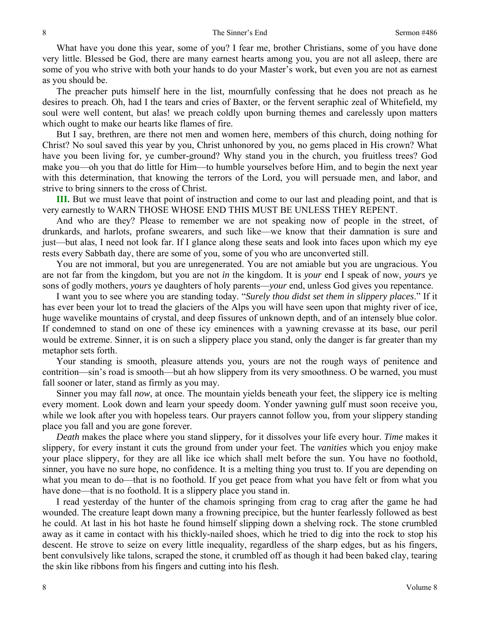What have you done this year, some of you? I fear me, brother Christians, some of you have done very little. Blessed be God, there are many earnest hearts among you, you are not all asleep, there are some of you who strive with both your hands to do your Master's work, but even you are not as earnest as you should be.

The preacher puts himself here in the list, mournfully confessing that he does not preach as he desires to preach. Oh, had I the tears and cries of Baxter, or the fervent seraphic zeal of Whitefield, my soul were well content, but alas! we preach coldly upon burning themes and carelessly upon matters which ought to make our hearts like flames of fire.

But I say, brethren, are there not men and women here, members of this church, doing nothing for Christ? No soul saved this year by you, Christ unhonored by you, no gems placed in His crown? What have you been living for, ye cumber-ground? Why stand you in the church, you fruitless trees? God make you—oh you that do little for Him—to humble yourselves before Him, and to begin the next year with this determination, that knowing the terrors of the Lord, you will persuade men, and labor, and strive to bring sinners to the cross of Christ.

**III.** But we must leave that point of instruction and come to our last and pleading point, and that is very earnestly to WARN THOSE WHOSE END THIS MUST BE UNLESS THEY REPENT.

And who are they? Please to remember we are not speaking now of people in the street, of drunkards, and harlots, profane swearers, and such like—we know that their damnation is sure and just—but alas, I need not look far. If I glance along these seats and look into faces upon which my eye rests every Sabbath day, there are some of you, some of you who are unconverted still.

You are not immoral, but you are unregenerated. You are not amiable but you are ungracious. You are not far from the kingdom, but you are not *in* the kingdom. It is *your* end I speak of now, *yours* ye sons of godly mothers, *yours* ye daughters of holy parents—*your* end, unless God gives you repentance.

I want you to see where you are standing today. "*Surely thou didst set them in slippery places*." If it has ever been your lot to tread the glaciers of the Alps you will have seen upon that mighty river of ice, huge wavelike mountains of crystal, and deep fissures of unknown depth, and of an intensely blue color. If condemned to stand on one of these icy eminences with a yawning crevasse at its base, our peril would be extreme. Sinner, it is on such a slippery place you stand, only the danger is far greater than my metaphor sets forth.

Your standing is smooth, pleasure attends you, yours are not the rough ways of penitence and contrition—sin's road is smooth—but ah how slippery from its very smoothness. O be warned, you must fall sooner or later, stand as firmly as you may.

Sinner you may fall *now*, at once. The mountain yields beneath your feet, the slippery ice is melting every moment. Look down and learn your speedy doom. Yonder yawning gulf must soon receive you, while we look after you with hopeless tears. Our prayers cannot follow you, from your slippery standing place you fall and you are gone forever.

*Death* makes the place where you stand slippery, for it dissolves your life every hour. *Time* makes it slippery, for every instant it cuts the ground from under your feet. The *vanities* which you enjoy make your place slippery, for they are all like ice which shall melt before the sun. You have no foothold, sinner, you have no sure hope, no confidence. It is a melting thing you trust to. If you are depending on what you mean to do—that is no foothold. If you get peace from what you have felt or from what you have done—that is no foothold. It is a slippery place you stand in.

I read yesterday of the hunter of the chamois springing from crag to crag after the game he had wounded. The creature leapt down many a frowning precipice, but the hunter fearlessly followed as best he could. At last in his hot haste he found himself slipping down a shelving rock. The stone crumbled away as it came in contact with his thickly-nailed shoes, which he tried to dig into the rock to stop his descent. He strove to seize on every little inequality, regardless of the sharp edges, but as his fingers, bent convulsively like talons, scraped the stone, it crumbled off as though it had been baked clay, tearing the skin like ribbons from his fingers and cutting into his flesh.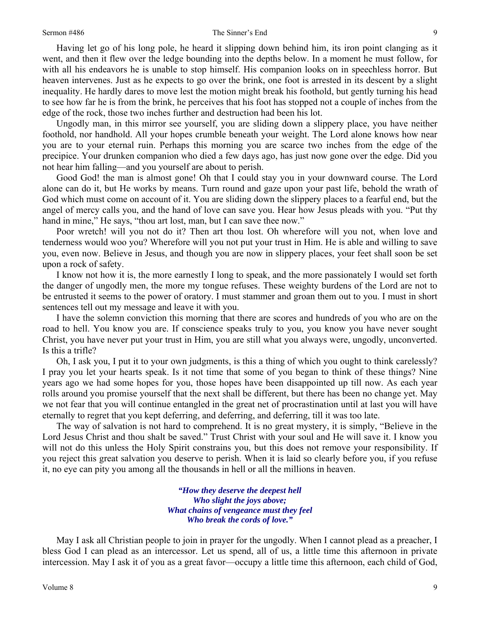Having let go of his long pole, he heard it slipping down behind him, its iron point clanging as it went, and then it flew over the ledge bounding into the depths below. In a moment he must follow, for with all his endeavors he is unable to stop himself. His companion looks on in speechless horror. But heaven intervenes. Just as he expects to go over the brink, one foot is arrested in its descent by a slight inequality. He hardly dares to move lest the motion might break his foothold, but gently turning his head to see how far he is from the brink, he perceives that his foot has stopped not a couple of inches from the edge of the rock, those two inches further and destruction had been his lot.

Ungodly man, in this mirror see yourself, you are sliding down a slippery place, you have neither foothold, nor handhold. All your hopes crumble beneath your weight. The Lord alone knows how near you are to your eternal ruin. Perhaps this morning you are scarce two inches from the edge of the precipice. Your drunken companion who died a few days ago, has just now gone over the edge. Did you not hear him falling—and you yourself are about to perish.

Good God! the man is almost gone! Oh that I could stay you in your downward course. The Lord alone can do it, but He works by means. Turn round and gaze upon your past life, behold the wrath of God which must come on account of it. You are sliding down the slippery places to a fearful end, but the angel of mercy calls you, and the hand of love can save you. Hear how Jesus pleads with you. "Put thy hand in mine," He says, "thou art lost, man, but I can save thee now."

Poor wretch! will you not do it? Then art thou lost. Oh wherefore will you not, when love and tenderness would woo you? Wherefore will you not put your trust in Him. He is able and willing to save you, even now. Believe in Jesus, and though you are now in slippery places, your feet shall soon be set upon a rock of safety.

I know not how it is, the more earnestly I long to speak, and the more passionately I would set forth the danger of ungodly men, the more my tongue refuses. These weighty burdens of the Lord are not to be entrusted it seems to the power of oratory. I must stammer and groan them out to you. I must in short sentences tell out my message and leave it with you.

I have the solemn conviction this morning that there are scores and hundreds of you who are on the road to hell. You know you are. If conscience speaks truly to you, you know you have never sought Christ, you have never put your trust in Him, you are still what you always were, ungodly, unconverted. Is this a trifle?

Oh, I ask you, I put it to your own judgments, is this a thing of which you ought to think carelessly? I pray you let your hearts speak. Is it not time that some of you began to think of these things? Nine years ago we had some hopes for you, those hopes have been disappointed up till now. As each year rolls around you promise yourself that the next shall be different, but there has been no change yet. May we not fear that you will continue entangled in the great net of procrastination until at last you will have eternally to regret that you kept deferring, and deferring, and deferring, till it was too late.

The way of salvation is not hard to comprehend. It is no great mystery, it is simply, "Believe in the Lord Jesus Christ and thou shalt be saved." Trust Christ with your soul and He will save it. I know you will not do this unless the Holy Spirit constrains you, but this does not remove your responsibility. If you reject this great salvation you deserve to perish. When it is laid so clearly before you, if you refuse it, no eye can pity you among all the thousands in hell or all the millions in heaven.

> *"How they deserve the deepest hell Who slight the joys above; What chains of vengeance must they feel Who break the cords of love."*

May I ask all Christian people to join in prayer for the ungodly. When I cannot plead as a preacher, I bless God I can plead as an intercessor. Let us spend, all of us, a little time this afternoon in private intercession. May I ask it of you as a great favor—occupy a little time this afternoon, each child of God,